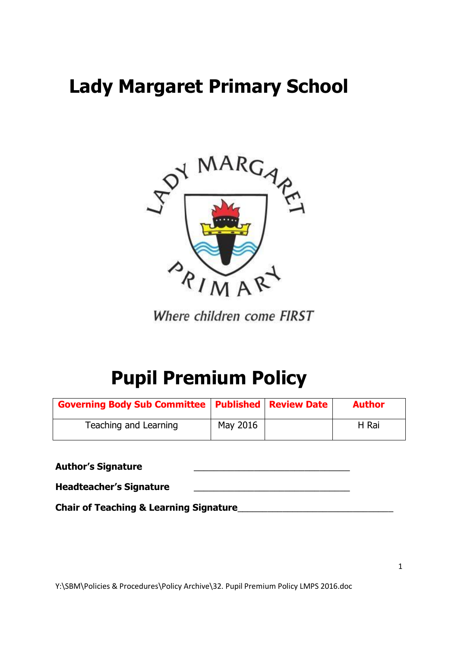# **Lady Margaret Primary School**



Where children come FIRST

# **Pupil Premium Policy**

| <b>Governing Body Sub Committee   Published   Review Date  </b> |          | <b>Author</b> |
|-----------------------------------------------------------------|----------|---------------|
| Teaching and Learning                                           | May 2016 | H Rai         |

**Author's Signature** \_\_\_\_\_\_\_\_\_\_\_\_\_\_\_\_\_\_\_\_\_\_\_\_\_\_\_\_\_\_\_ **Headteacher's Signature** \_\_\_\_\_\_\_\_\_\_\_\_\_\_\_\_\_\_\_\_\_\_\_\_\_\_\_\_\_\_\_

**Chair of Teaching & Learning Signature**\_\_\_\_\_\_\_\_\_\_\_\_\_\_\_\_\_\_\_\_\_\_\_\_\_\_\_\_\_\_\_

Y:\SBM\Policies & Procedures\Policy Archive\32. Pupil Premium Policy LMPS 2016.doc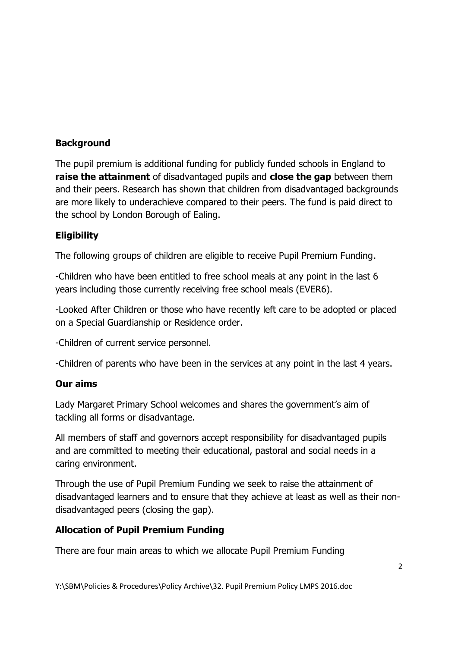## **Background**

The [pupil premium](https://www.gov.uk/government/policies/raising-the-achievement-of-disadvantaged-children/supporting-pages/pupil-premium) is additional funding for publicly funded schools in England to **raise the attainment** of disadvantaged pupils and **close the gap** between them and their peers. Research has shown that children from disadvantaged backgrounds are more likely to underachieve compared to their peers. The fund is paid direct to the school by London Borough of Ealing.

### **Eligibility**

The following groups of children are eligible to receive Pupil Premium Funding.

-Children who have been entitled to free school meals at any point in the last 6 years including those currently receiving free school meals (EVER6).

-Looked After Children or those who have recently left care to be adopted or placed on a Special Guardianship or Residence order.

-Children of current service personnel.

-Children of parents who have been in the services at any point in the last 4 years.

#### **Our aims**

Lady Margaret Primary School welcomes and shares the government's aim of tackling all forms or disadvantage.

All members of staff and governors accept responsibility for disadvantaged pupils and are committed to meeting their educational, pastoral and social needs in a caring environment.

Through the use of Pupil Premium Funding we seek to raise the attainment of disadvantaged learners and to ensure that they achieve at least as well as their nondisadvantaged peers (closing the gap).

#### **Allocation of Pupil Premium Funding**

There are four main areas to which we allocate Pupil Premium Funding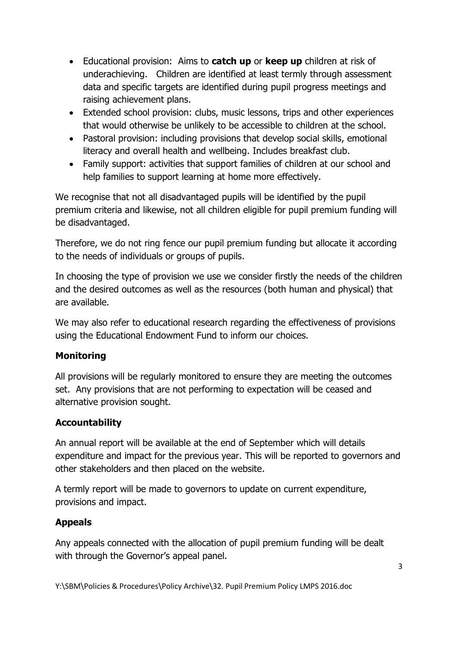- Educational provision: Aims to **catch up** or **keep up** children at risk of underachieving. Children are identified at least termly through assessment data and specific targets are identified during pupil progress meetings and raising achievement plans.
- Extended school provision: clubs, music lessons, trips and other experiences that would otherwise be unlikely to be accessible to children at the school.
- Pastoral provision: including provisions that develop social skills, emotional literacy and overall health and wellbeing. Includes breakfast club.
- Family support: activities that support families of children at our school and help families to support learning at home more effectively.

We recognise that not all disadvantaged pupils will be identified by the pupil premium criteria and likewise, not all children eligible for pupil premium funding will be disadvantaged.

Therefore, we do not ring fence our pupil premium funding but allocate it according to the needs of individuals or groups of pupils.

In choosing the type of provision we use we consider firstly the needs of the children and the desired outcomes as well as the resources (both human and physical) that are available.

We may also refer to educational research regarding the effectiveness of provisions using the Educational Endowment Fund to inform our choices.

# **Monitoring**

All provisions will be regularly monitored to ensure they are meeting the outcomes set. Any provisions that are not performing to expectation will be ceased and alternative provision sought.

# **Accountability**

An annual report will be available at the end of September which will details expenditure and impact for the previous year. This will be reported to governors and other stakeholders and then placed on the website.

A termly report will be made to governors to update on current expenditure, provisions and impact.

#### **Appeals**

Any appeals connected with the allocation of pupil premium funding will be dealt with through the Governor's appeal panel.